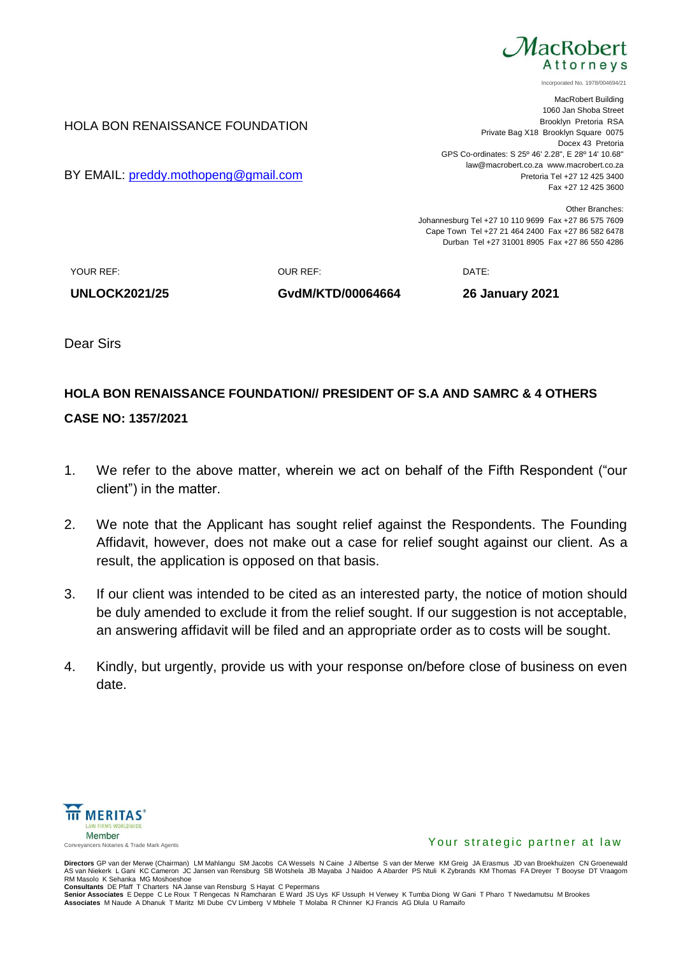

Incorporated No. 1978/004694/21

MacRobert Building 1060 Jan Shoba Street Brooklyn Pretoria RSA Private Bag X18 Brooklyn Square 0075 Docex 43 Pretoria GPS Co-ordinates: S 25º 46' 2.28", E 28º 14' 10.68" law@macrobert.co.za www.macrobert.co.za Pretoria Tel +27 12 425 3400 Fax +27 12 425 3600

Other Branches: Johannesburg Tel +27 10 110 9699 Fax +27 86 575 7609 Cape Town Tel +27 21 464 2400 Fax +27 86 582 6478 Durban Tel +27 31001 8905 Fax +27 86 550 4286

YOUR REF: OUR REF: DATE:

HOLA BON RENAISSANCE FOUNDATION

BY EMAIL: [preddy.mothopeng@gmail.com](mailto:preddy.mothopeng@gmail.com)

**UNLOCK2021/25 GvdM/KTD/00064664 26 January 2021**

Dear Sirs

## **HOLA BON RENAISSANCE FOUNDATION// PRESIDENT OF S.A AND SAMRC & 4 OTHERS**

## **CASE NO: 1357/2021**

- 1. We refer to the above matter, wherein we act on behalf of the Fifth Respondent ("our client") in the matter.
- 2. We note that the Applicant has sought relief against the Respondents. The Founding Affidavit, however, does not make out a case for relief sought against our client. As a result, the application is opposed on that basis.
- 3. If our client was intended to be cited as an interested party, the notice of motion should be duly amended to exclude it from the relief sought. If our suggestion is not acceptable, an answering affidavit will be filed and an appropriate order as to costs will be sought.
- 4. Kindly, but urgently, provide us with your response on/before close of business on even date.



## Your strategic partner at law

**Directors** GP van der Merwe (Chairman) LM Mahlangu SM Jacobs CA Wessels N Caine J Albertse S van der Merwe KM Greig JA Erasmus JD van Broekhuizen CN Groenewald<br>AS van Niekerk L Gani KC Cameron JC Jansen van Rensburg SB Wo RM Masolo K Sehanka MG Moshoeshoe

**Consultants** DE Pfaff T Charters NA Janse van Rensburg S Hayat C Pepermans<br>**Senior Associates** E Deppe C Le Roux T Rengecas N Ramcharan E Ward JS Uys KF Ussuph H Verwey K Tumba Diong W Gani T Pharo T Nwedamutsu M Brookes<br>